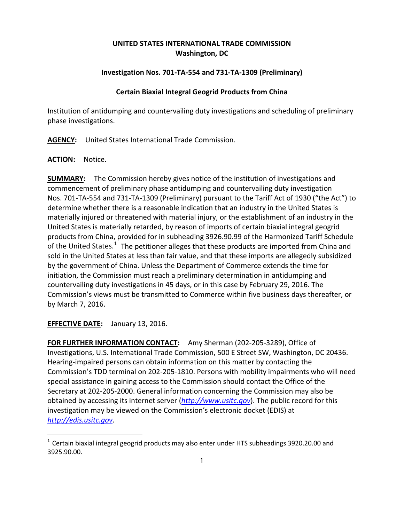# **UNITED STATES INTERNATIONAL TRADE COMMISSION Washington, DC**

### **Investigation Nos. 701-TA-554 and 731-TA-1309 (Preliminary)**

### **Certain Biaxial Integral Geogrid Products from China**

Institution of antidumping and countervailing duty investigations and scheduling of preliminary phase investigations.

**AGENCY:** United States International Trade Commission.

### **ACTION:** Notice.

**SUMMARY:** The Commission hereby gives notice of the institution of investigations and commencement of preliminary phase antidumping and countervailing duty investigation Nos. 701-TA-554 and 731-TA-1309 (Preliminary) pursuant to the Tariff Act of 1930 ("the Act") to determine whether there is a reasonable indication that an industry in the United States is materially injured or threatened with material injury, or the establishment of an industry in the United States is materially retarded, by reason of imports of certain biaxial integral geogrid products from China, provided for in subheading 3926.90.99 of the Harmonized Tariff Schedule of the United States.<sup>[1](#page-0-0)</sup> The petitioner alleges that these products are imported from China and sold in the United States at less than fair value, and that these imports are allegedly subsidized by the government of China. Unless the Department of Commerce extends the time for initiation, the Commission must reach a preliminary determination in antidumping and countervailing duty investigations in 45 days, or in this case by February 29, 2016. The Commission's views must be transmitted to Commerce within five business days thereafter, or by March 7, 2016.

## **EFFECTIVE DATE:** January 13, 2016.

 $\overline{a}$ 

**FOR FURTHER INFORMATION CONTACT:** Amy Sherman (202-205-3289), Office of Investigations, U.S. International Trade Commission, 500 E Street SW, Washington, DC 20436. Hearing-impaired persons can obtain information on this matter by contacting the Commission's TDD terminal on 202-205-1810. Persons with mobility impairments who will need special assistance in gaining access to the Commission should contact the Office of the Secretary at 202-205-2000. General information concerning the Commission may also be obtained by accessing its internet server (*[http://www.usitc.gov](http://www.usitc.gov/)*). The public record for this investigation may be viewed on the Commission's electronic docket (EDIS) at *[http://edis.usitc.gov](http://edis.usitc.gov/)*.

<span id="page-0-0"></span> $1$  Certain biaxial integral geogrid products may also enter under HTS subheadings 3920.20.00 and 3925.90.00.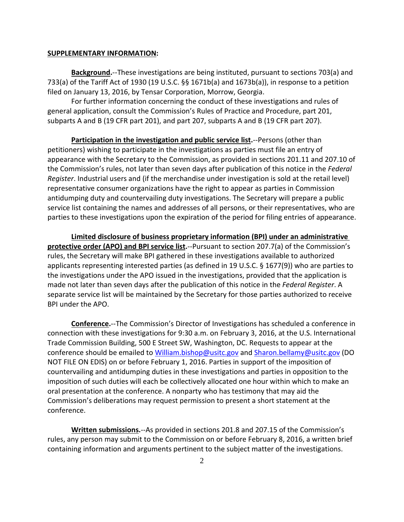#### **SUPPLEMENTARY INFORMATION:**

**Background.**--These investigations are being instituted, pursuant to sections 703(a) and 733(a) of the Tariff Act of 1930 (19 U.S.C. §§ 1671b(a) and 1673b(a)), in response to a petition filed on January 13, 2016, by Tensar Corporation, Morrow, Georgia.

For further information concerning the conduct of these investigations and rules of general application, consult the Commission's Rules of Practice and Procedure, part 201, subparts A and B (19 CFR part 201), and part 207, subparts A and B (19 CFR part 207).

**Participation in the investigation and public service list.**--Persons (other than petitioners) wishing to participate in the investigations as parties must file an entry of appearance with the Secretary to the Commission, as provided in sections 201.11 and 207.10 of the Commission's rules, not later than seven days after publication of this notice in the *Federal Register*. Industrial users and (if the merchandise under investigation is sold at the retail level) representative consumer organizations have the right to appear as parties in Commission antidumping duty and countervailing duty investigations. The Secretary will prepare a public service list containing the names and addresses of all persons, or their representatives, who are parties to these investigations upon the expiration of the period for filing entries of appearance.

**Limited disclosure of business proprietary information (BPI) under an administrative protective order (APO) and BPI service list.**--Pursuant to section 207.7(a) of the Commission's rules, the Secretary will make BPI gathered in these investigations available to authorized applicants representing interested parties (as defined in 19 U.S.C. § 1677(9)) who are parties to the investigations under the APO issued in the investigations, provided that the application is made not later than seven days after the publication of this notice in the *Federal Register*. A separate service list will be maintained by the Secretary for those parties authorized to receive BPI under the APO.

**Conference.**--The Commission's Director of Investigations has scheduled a conference in connection with these investigations for 9:30 a.m. on February 3, 2016, at the U.S. International Trade Commission Building, 500 E Street SW, Washington, DC. Requests to appear at the conference should be emailed to [William.bishop@usitc.gov](mailto:William.bishop@usitc.gov) and [Sharon.bellamy@usitc.gov](mailto:Sharon.bellamy@usitc.gov)) (DO NOT FILE ON EDIS) on or before February 1, 2016. Parties in support of the imposition of countervailing and antidumping duties in these investigations and parties in opposition to the imposition of such duties will each be collectively allocated one hour within which to make an oral presentation at the conference. A nonparty who has testimony that may aid the Commission's deliberations may request permission to present a short statement at the conference.

**Written submissions.**--As provided in sections 201.8 and 207.15 of the Commission's rules, any person may submit to the Commission on or before February 8, 2016, a written brief containing information and arguments pertinent to the subject matter of the investigations.